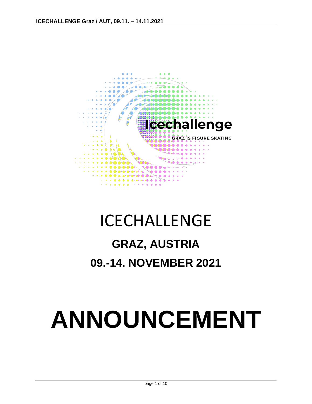

## ICECHALLENGE

## **GRAZ, AUSTRIA**

**09.-14. NOVEMBER 2021**

# **ANNOUNCEMENT**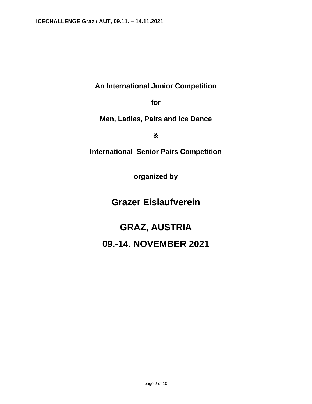**An International Junior Competition** 

**for** 

**Men, Ladies, Pairs and Ice Dance**

**&**

**International Senior Pairs Competition**

**organized by**

**Grazer Eislaufverein**

**GRAZ, AUSTRIA 09.-14. NOVEMBER 2021**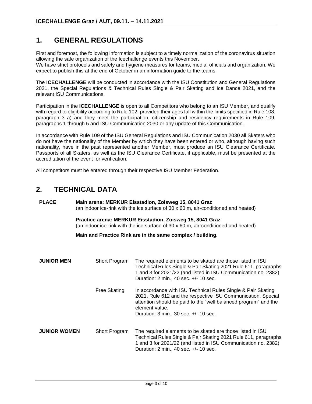## **1. GENERAL REGULATIONS**

First and foremost, the following information is subject to a timely normalization of the coronavirus situation allowing the safe organization of the Icechallenge events this November.

We have strict protocols and safety and hygiene measures for teams, media, officials and organization. We expect to publish this at the end of October in an information guide to the teams.

The **ICECHALLENGE** will be conducted in accordance with the ISU Constitution and General Regulations 2021, the Special Regulations & Technical Rules Single & Pair Skating and Ice Dance 2021, and the relevant ISU Communications.

Participation in the **ICECHALLENGE** is open to all Competitors who belong to an ISU Member, and qualify with regard to eligibility according to Rule 102, provided their ages fall within the limits specified in Rule 108, paragraph 3 a) and they meet the participation, citizenship and residency requirements in Rule 109, paragraphs 1 through 5 and ISU Communication 2030 or any update of this Communication.

In accordance with Rule 109 of the ISU General Regulations and ISU Communication 2030 all Skaters who do not have the nationality of the Member by which they have been entered or who, although having such nationality, have in the past represented another Member, must produce an ISU Clearance Certificate. Passports of all Skaters, as well as the ISU Clearance Certificate, if applicable, must be presented at the accreditation of the event for verification.

All competitors must be entered through their respective ISU Member Federation.

#### **2. TECHNICAL DATA**

**PLACE Main arena: MERKUR Eisstadion, Zoisweg 15, 8041 Graz** (an indoor ice-rink with the ice surface of 30 x 60 m, air-conditioned and heated)

> **Practice arena: MERKUR Eisstadion, Zoisweg 15, 8041 Graz** (an indoor ice-rink with the ice surface of 30 x 60 m, air-conditioned and heated)

**Main and Practice Rink are in the same complex / building.**

| <b>JUNIOR MEN</b>   | Short Program | The required elements to be skated are those listed in ISU<br>Technical Rules Single & Pair Skating 2021 Rule 611, paragraphs<br>1 and 3 for 2021/22 (and listed in ISU Communication no. 2382)<br>Duration: 2 min., 40 sec. +/- 10 sec.                                                |
|---------------------|---------------|-----------------------------------------------------------------------------------------------------------------------------------------------------------------------------------------------------------------------------------------------------------------------------------------|
|                     | Free Skating  | In accordance with ISU Technical Rules Single & Pair Skating<br>2021, Rule 612 and the respective ISU Communication. Special<br>attention should be paid to the "well balanced program" and the<br>element value.<br>Duration: $3 \text{ min.}$ , $30 \text{ sec.} +/- 10 \text{ sec.}$ |
| <b>JUNIOR WOMEN</b> | Short Program | The required elements to be skated are those listed in ISU<br>Technical Rules Single & Pair Skating 2021 Rule 611, paragraphs<br>1 and 3 for 2021/22 (and listed in ISU Communication no. 2382)<br>Duration: 2 min., 40 sec. +/- 10 sec.                                                |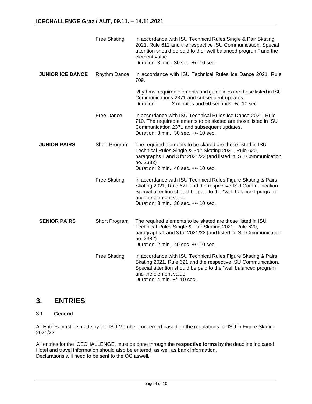|                         | <b>Free Skating</b> | In accordance with ISU Technical Rules Single & Pair Skating<br>2021, Rule 612 and the respective ISU Communication. Special<br>attention should be paid to the "well balanced program" and the<br>element value.<br>Duration: 3 min., 30 sec. +/- 10 sec.          |  |
|-------------------------|---------------------|---------------------------------------------------------------------------------------------------------------------------------------------------------------------------------------------------------------------------------------------------------------------|--|
| <b>JUNIOR ICE DANCE</b> | Rhythm Dance        | In accordance with ISU Technical Rules Ice Dance 2021, Rule<br>709.                                                                                                                                                                                                 |  |
|                         |                     | Rhythms, required elements and guidelines are those listed in ISU<br>Communications 2371 and subsequent updates.<br>2 minutes and 50 seconds, +/- 10 sec<br>Duration:                                                                                               |  |
|                         | Free Dance          | In accordance with ISU Technical Rules Ice Dance 2021, Rule<br>710. The required elements to be skated are those listed in ISU<br>Communication 2371 and subsequent updates.<br>Duration: 3 min., 30 sec. +/- 10 sec.                                               |  |
| <b>JUNIOR PAIRS</b>     | Short Program       | The required elements to be skated are those listed in ISU<br>Technical Rules Single & Pair Skating 2021, Rule 620,<br>paragraphs 1 and 3 for 2021/22 (and listed in ISU Communication<br>no. 2382)<br>Duration: 2 min., 40 sec. +/- 10 sec.                        |  |
|                         | <b>Free Skating</b> | In accordance with ISU Technical Rules Figure Skating & Pairs<br>Skating 2021, Rule 621 and the respective ISU Communication.<br>Special attention should be paid to the "well balanced program"<br>and the element value.<br>Duration: 3 min., 30 sec. +/- 10 sec. |  |
| <b>SENIOR PAIRS</b>     | Short Program       | The required elements to be skated are those listed in ISU<br>Technical Rules Single & Pair Skating 2021, Rule 620,<br>paragraphs 1 and 3 for 2021/22 (and listed in ISU Communication<br>no. 2382)<br>Duration: 2 min., 40 sec. +/- 10 sec.                        |  |
|                         | <b>Free Skating</b> | In accordance with ISU Technical Rules Figure Skating & Pairs<br>Skating 2021, Rule 621 and the respective ISU Communication.<br>Special attention should be paid to the "well balanced program"<br>and the element value.<br>Duration: 4 min. +/- 10 sec.          |  |

## **3. ENTRIES**

#### **3.1 General**

All Entries must be made by the ISU Member concerned based on the regulations for ISU in Figure Skating 2021/22.

All entries for the ICECHALLENGE, must be done through the **respective forms** by the deadline indicated. Hotel and travel information should also be entered, as well as bank information. Declarations will need to be sent to the OC aswell.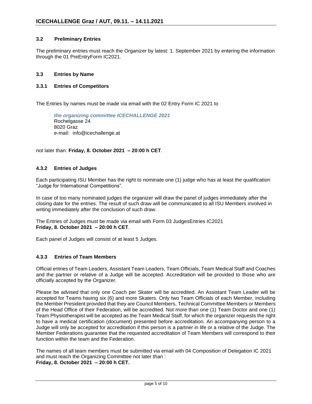#### **3.2 Preliminary Entries**

The preliminary entries must reach the Organizer by latest: 1. September 2021 by entering the information through the 01 PreEntryForm IC2021.

#### **3.3 Entries by Name**

#### **3.3.1 Entries of Competitors**

The Entries by names must be made via email with the 02 Entry Form IC 2021 to

*the organizing committee ICECHALLENGE 2021* Rochelgasse 24 8020 Graz e-mail: info@icechallenge.at

not later than: **Friday, 8. October 2021 – 20:00 h CET**.

#### **4.3.2 Entries of Judges**

Each participating ISU Member has the right to nominate one (1) judge who has at least the qualification "Judge for International Competitions".

In case of too many nominated judges the organizer will draw the panel of judges immediately after the closing date for the entries. The result of such draw will be communicated to all ISU Members involved in writing immediately after the conclusion of such draw.

The Entries of Judges must be made via email with Form 03 JudgesEntries IC2021 **Friday, 8. October 2021 – 20:00 h CET**.

Each panel of Judges will consist of at least 5 Judges.

#### **4.3.3 Entries of Team Members**

Official entries of Team Leaders, Assistant Team Leaders, Team Officials, Team Medical Staff and Coaches and the partner or relative of a Judge will be accepted. Accreditation will be provided to those who are officially accepted by the Organizer.

Please be advised that only one Coach per Skater will be accredited. An Assistant Team Leader will be accepted for Teams having six (6) and more Skaters. Only two Team Officials of each Member, including the Member President provided that they are Council Members, Technical Committee Members or Members of the Head Office of their Federation, will be accredited. Not more than one (1) Team Doctor and one (1) Team Physiotherapist will be accepted as the Team Medical Staff, for which the organizer requests the right to have a medical certification (document) presented before accreditation. An accompanying person to a Judge will only be accepted for accreditation if this person is a partner in life or a relative of the Judge. The Member Federations guarantee that the requested accreditation of Team Members will correspond to their function within the team and the Federation.

The names of all team members must be submitted via email with 04 Composition of Delegation IC 2021 and must reach the Organizing Committee not later than : **Friday, 8. October 2021 – 20:00 h CET.**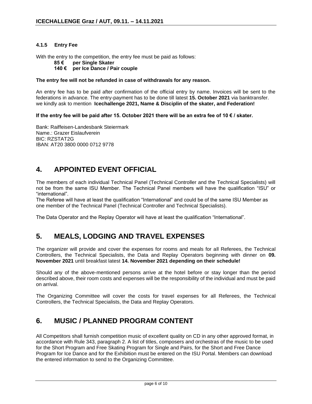#### **4.1.5 Entry Fee**

With the entry to the competition, the entry fee must be paid as follows:

**85 € per Single Skater** 

#### **140 € per Ice Dance / Pair couple**

#### **The entry fee will not be refunded in case of withdrawals for any reason.**

An entry fee has to be paid after confirmation of the official entry by name. Invoices will be sent to the federations in advance. The entry-payment has to be done till latest **15. October 2021** via banktransfer. we kindly ask to mention **Icechallenge 2021, Name & Disciplin of the skater, and Federation!** 

**If the entry fee will be paid after 15. October 2021 there will be an extra fee of 10 € / skater.**

Bank: Raiffeisen-Landesbank Steiermark Name.: Grazer Eislaufverein BIC: RZSTAT2G IBAN: AT20 3800 0000 0712 9778

## **4. APPOINTED EVENT OFFICIAL**

The members of each individual Technical Panel (Technical Controller and the Technical Specialists) will not be from the same ISU Member. The Technical Panel members will have the qualification "ISU" or "international".

The Referee will have at least the qualification "International" and could be of the same ISU Member as one member of the Technical Panel (Technical Controller and Technical Specialists).

The Data Operator and the Replay Operator will have at least the qualification "International".

## **5. MEALS, LODGING AND TRAVEL EXPENSES**

The organizer will provide and cover the expenses for rooms and meals for all Referees, the Technical Controllers, the Technical Specialists, the Data and Replay Operators beginning with dinner on **09. November 2021** until breakfast latest **14. November 2021 depending on their schedule!**

Should any of the above-mentioned persons arrive at the hotel before or stay longer than the period described above, their room costs and expenses will be the responsibility of the individual and must be paid on arrival.

The Organizing Committee will cover the costs for travel expenses for all Referees, the Technical Controllers, the Technical Specialists, the Data and Replay Operators.

## **6. MUSIC / PLANNED PROGRAM CONTENT**

All Competitors shall furnish competition music of excellent quality on CD in any other approved format, in accordance with Rule 343, paragraph 2. A list of titles, composers and orchestras of the music to be used for the Short Program and Free Skating Program for Single and Pairs, for the Short and Free Dance Program for Ice Dance and for the Exhibition must be entered on the ISU Portal. Members can download the entered information to send to the Organizing Committee.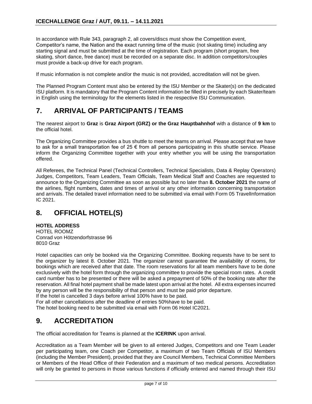In accordance with Rule 343, paragraph 2, all covers/discs must show the Competition event, Competitor's name, the Nation and the exact running time of the music (not skating time) including any starting signal and must be submitted at the time of registration. Each program (short program, free skating, short dance, free dance) must be recorded on a separate disc. In addition competitors/couples must provide a back-up drive for each program.

If music information is not complete and/or the music is not provided, accreditation will not be given.

The Planned Program Content must also be entered by the ISU Member or the Skater(s) on the dedicated ISU platform. It is mandatory that the Program Content information be filled in precisely by each Skater/team in English using the terminology for the elements listed in the respective ISU Communication.

## **7. ARRIVAL OF PARTICIPANTS / TEAMS**

The nearest airport to **Graz** is **Graz Airport (GRZ) or the Graz Hauptbahnhof** with a distance of **9 km** to the official hotel.

The Organizing Committee provides a bus shuttle to meet the teams on arrival. Please accept that we have to ask for a small transportation fee of 25  $\epsilon$  from all persons participating in this shuttle service. Please inform the Organizing Committee together with your entry whether you will be using the transportation offered.

All Referees, the Technical Panel (Technical Controllers, Technical Specialists, Data & Replay Operators) Judges, Competitors, Team Leaders, Team Officials, Team Medical Staff and Coaches are requested to announce to the Organizing Committee as soon as possible but no later than **8. October 2021** the name of the airlines, flight numbers, dates and times of arrival or any other information concerning transportation and arrivals. The detailed travel information need to be submitted via email with Form 05 TravelInformation IC 2021.

## **8. OFFICIAL HOTEL(S)**

**HOTEL ADDRESS**

HOTEL ROOMZ Conrad von Hötzendorfstrasse 96 8010 Graz

Hotel capacities can only be booked via the Organizing Committee. Booking requests have to be sent to the organizer by latest 8. October 2021. The organizer cannot guarantee the availability of rooms, for bookings which are received after that date. The room reservations for all team members have to be done exclusively with the hotel form through the organizing committee to provide the special room rates. A credit card number has to be presented or there will be asked a prepayment of 50% of the booking rate after the reservation. All final hotel payment shall be made latest upon arrival at the hotel. All extra expenses incurred by any person will be the responsibility of that person and must be paid prior departure.

If the hotel is cancelled 3 days before arrival 100% have to be paid.

For all other cancellations after the deadline of entries 50%have to be paid.

The hotel booking need to be submitted via email with Form 06 Hotel IC2021.

## **9. ACCREDITATION**

The official accreditation for Teams is planned at the **ICERINK** upon arrival.

Accreditation as a Team Member will be given to all entered Judges, Competitors and one Team Leader per participating team, one Coach per Competitor, a maximum of two Team Officials of ISU Members (including the Member President), provided that they are Council Members, Technical Committee Members or Members of the Head Office of their Federation and a maximum of two medical persons. Accreditation will only be granted to persons in those various functions if officially entered and named through their ISU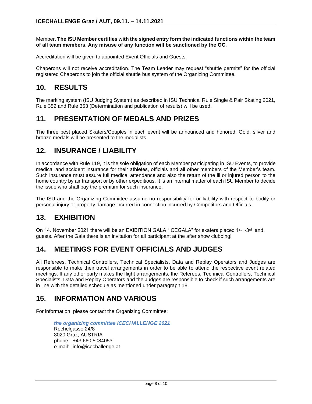Member. **The ISU Member certifies with the signed entry form the indicated functions within the team of all team members. Any misuse of any function will be sanctioned by the OC.**

Accreditation will be given to appointed Event Officials and Guests.

Chaperons will not receive accreditation. The Team Leader may request "shuttle permits" for the official registered Chaperons to join the official shuttle bus system of the Organizing Committee.

## **10. RESULTS**

The marking system (ISU Judging System) as described in ISU Technical Rule Single & Pair Skating 2021, Rule 352 and Rule 353 (Determination and publication of results) will be used.

#### **11. PRESENTATION OF MEDALS AND PRIZES**

The three best placed Skaters/Couples in each event will be announced and honored. Gold, silver and bronze medals will be presented to the medalists.

#### **12. INSURANCE / LIABILITY**

In accordance with Rule 119, it is the sole obligation of each Member participating in ISU Events, to provide medical and accident insurance for their athletes, officials and all other members of the Member's team. Such insurance must assure full medical attendance and also the return of the ill or injured person to the home country by air transport or by other expeditious. It is an internal matter of each ISU Member to decide the issue who shall pay the premium for such insurance.

The ISU and the Organizing Committee assume no responsibility for or liability with respect to bodily or personal injury or property damage incurred in connection incurred by Competitors and Officials.

## **13. EXHIBITION**

On 14. November 2021 there will be an EXIBITION GALA "ICEGALA" for skaters placed 1<sup>st</sup> -3<sup>rd</sup> and guests. After the Gala there is an invitation for all participant at the after show clubbing!

## **14. MEETINGS FOR EVENT OFFICIALS AND JUDGES**

All Referees, Technical Controllers, Technical Specialists, Data and Replay Operators and Judges are responsible to make their travel arrangements in order to be able to attend the respective event related meetings. If any other party makes the flight arrangements, the Referees, Technical Controllers, Technical Specialists, Data and Replay Operators and the Judges are responsible to check if such arrangements are in line with the detailed schedule as mentioned under paragraph 18.

## **15. INFORMATION AND VARIOUS**

For information, please contact the Organizing Committee:

*the organizing committee ICECHALLENGE 2021* Rochelgasse 24/8 8020 Graz, AUSTRIA phone: +43 660 5084053 e-mail: info@icechallenge.at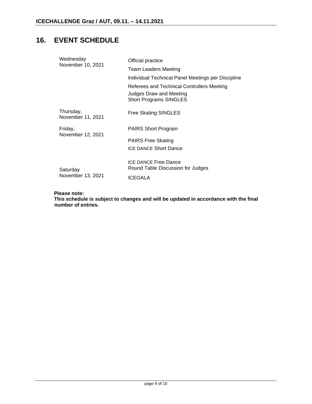## **16. EVENT SCHEDULE**

| Wednesday                      | Official practice                                                |
|--------------------------------|------------------------------------------------------------------|
| November 10, 2021              | Team Leaders Meeting                                             |
|                                | Individual Technical Panel Meetings per Discipline               |
|                                | Referees and Technical Controllers Meeting                       |
|                                | Judges Draw and Meeting<br><b>Short Programs SINGLES</b>         |
| Thursday,<br>November 11, 2021 | <b>Free Skating SINGLES</b>                                      |
| Friday,<br>November 12, 2021   | <b>PAIRS Short Program</b>                                       |
|                                | <b>PAIRS Free Skating</b>                                        |
|                                | <b>ICE DANCE Short Dance</b>                                     |
| Saturday                       | <b>ICE DANCE Free Dance</b><br>Round Table Discussion for Judges |
| November 13, 2021              | <b>ICEGALA</b>                                                   |

#### **Please note:**

**This schedule is subject to changes and will be updated in accordance with the final number of entries.**